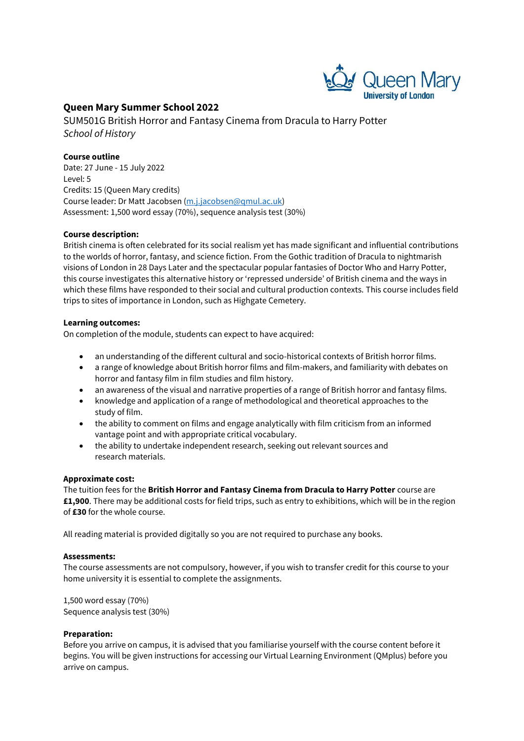

# **Queen Mary Summer School 2022**

SUM501G British Horror and Fantasy Cinema from Dracula to Harry Potter *School of History*

## **Course outline**

Date: 27 June - 15 July 2022 Level: 5 Credits: 15 (Queen Mary credits) Course leader: Dr Matt Jacobsen [\(m.j.jacobsen@qmul.ac.uk\)](mailto:m.j.jacobsen@qmul.ac.uk) Assessment: 1,500 word essay (70%), sequence analysis test (30%)

#### **Course description:**

British cinema is often celebrated for its social realism yet has made significant and influential contributions to the worlds of horror, fantasy, and science fiction. From the Gothic tradition of Dracula to nightmarish visions of London in 28 Days Later and the spectacular popular fantasies of Doctor Who and Harry Potter, this course investigates this alternative history or 'repressed underside' of British cinema and the ways in which these films have responded to their social and cultural production contexts. This course includes field trips to sites of importance in London, such as Highgate Cemetery.

#### **Learning outcomes:**

On completion of the module, students can expect to have acquired:

- an understanding of the different cultural and socio-historical contexts of British horror films.
- a range of knowledge about British horror films and film-makers, and familiarity with debates on horror and fantasy film in film studies and film history.
- an awareness of the visual and narrative properties of a range of British horror and fantasy films.
- knowledge and application of a range of methodological and theoretical approaches to the study of film.
- the ability to comment on films and engage analytically with film criticism from an informed vantage point and with appropriate critical vocabulary.
- the ability to undertake independent research, seeking out relevant sources and research materials.

#### **Approximate cost:**

The tuition fees for the **British Horror and Fantasy Cinema from Dracula to Harry Potter** course are **£1,900**. There may be additional costs for field trips, such as entry to exhibitions, which will be in the region of **£30** for the whole course.

All reading material is provided digitally so you are not required to purchase any books.

#### **Assessments:**

The course assessments are not compulsory, however, if you wish to transfer credit for this course to your home university it is essential to complete the assignments.

1,500 word essay (70%) Sequence analysis test (30%)

#### **Preparation:**

Before you arrive on campus, it is advised that you familiarise yourself with the course content before it begins. You will be given instructions for accessing our Virtual Learning Environment (QMplus) before you arrive on campus.